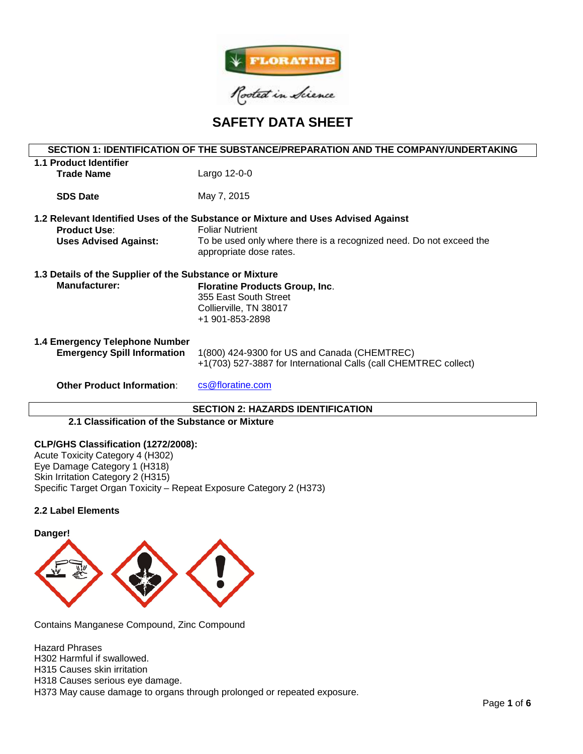

# **SAFETY DATA SHEET**

| SECTION 1: IDENTIFICATION OF THE SUBSTANCE/PREPARATION AND THE COMPANY/UNDERTAKING |                                                                     |  |  |  |  |
|------------------------------------------------------------------------------------|---------------------------------------------------------------------|--|--|--|--|
| <b>1.1 Product Identifier</b>                                                      |                                                                     |  |  |  |  |
| <b>Trade Name</b>                                                                  | Largo 12-0-0                                                        |  |  |  |  |
|                                                                                    |                                                                     |  |  |  |  |
| <b>SDS Date</b>                                                                    | May 7, 2015                                                         |  |  |  |  |
| 1.2 Relevant Identified Uses of the Substance or Mixture and Uses Advised Against  |                                                                     |  |  |  |  |
| <b>Product Use:</b>                                                                | <b>Foliar Nutrient</b>                                              |  |  |  |  |
| <b>Uses Advised Against:</b>                                                       | To be used only where there is a recognized need. Do not exceed the |  |  |  |  |
|                                                                                    | appropriate dose rates.                                             |  |  |  |  |
|                                                                                    |                                                                     |  |  |  |  |
| 1.3 Details of the Supplier of the Substance or Mixture                            |                                                                     |  |  |  |  |
| <b>Manufacturer:</b>                                                               | <b>Floratine Products Group, Inc.</b>                               |  |  |  |  |
|                                                                                    | 355 East South Street                                               |  |  |  |  |
|                                                                                    | Collierville, TN 38017                                              |  |  |  |  |
|                                                                                    | +1 901-853-2898                                                     |  |  |  |  |
| 1.4 Emergency Telephone Number                                                     |                                                                     |  |  |  |  |
| <b>Emergency Spill Information</b>                                                 | 1(800) 424-9300 for US and Canada (CHEMTREC)                        |  |  |  |  |
|                                                                                    | +1(703) 527-3887 for International Calls (call CHEMTREC collect)    |  |  |  |  |
|                                                                                    |                                                                     |  |  |  |  |
| <b>Other Product Information:</b>                                                  | cs@floratine.com                                                    |  |  |  |  |
|                                                                                    |                                                                     |  |  |  |  |
| <b>SECTION 2: HAZARDS IDENTIFICATION</b>                                           |                                                                     |  |  |  |  |

# **2.1 Classification of the Substance or Mixture**

# **CLP/GHS Classification (1272/2008):**

Acute Toxicity Category 4 (H302) Eye Damage Category 1 (H318) Skin Irritation Category 2 (H315) Specific Target Organ Toxicity – Repeat Exposure Category 2 (H373)

# **2.2 Label Elements**



Contains Manganese Compound, Zinc Compound

Hazard Phrases H302 Harmful if swallowed. H315 Causes skin irritation H318 Causes serious eye damage.

H373 May cause damage to organs through prolonged or repeated exposure.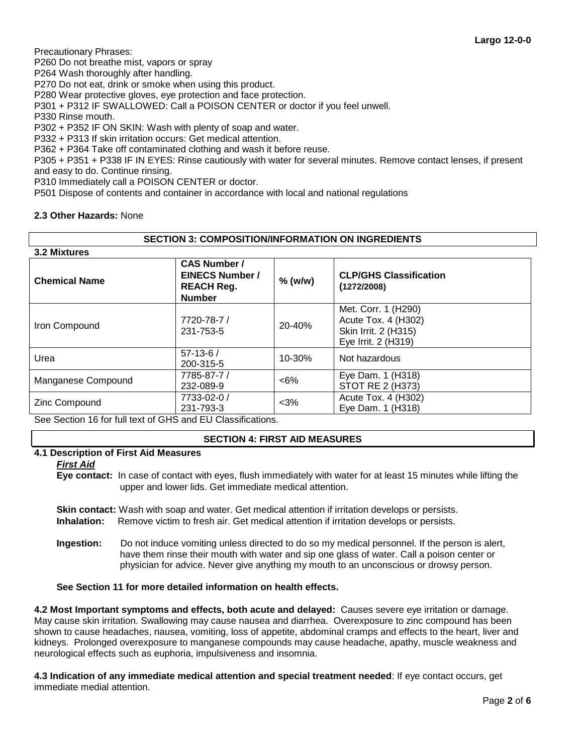Precautionary Phrases:

P260 Do not breathe mist, vapors or spray

P264 Wash thoroughly after handling.

P270 Do not eat, drink or smoke when using this product.

P280 Wear protective gloves, eye protection and face protection.

P301 + P312 IF SWALLOWED: Call a POISON CENTER or doctor if you feel unwell.

P330 Rinse mouth.

P302 + P352 IF ON SKIN: Wash with plenty of soap and water.

P332 + P313 If skin irritation occurs: Get medical attention.

P362 + P364 Take off contaminated clothing and wash it before reuse.

P305 + P351 + P338 IF IN EYES: Rinse cautiously with water for several minutes. Remove contact lenses, if present and easy to do. Continue rinsing.

P310 Immediately call a POISON CENTER or doctor.

P501 Dispose of contents and container in accordance with local and national regulations

# **2.3 Other Hazards:** None

# **SECTION 3: COMPOSITION/INFORMATION ON INGREDIENTS**

| 3.2 Mixtures                                                 |                                                                                     |           |                                                                                           |  |  |  |
|--------------------------------------------------------------|-------------------------------------------------------------------------------------|-----------|-------------------------------------------------------------------------------------------|--|--|--|
| <b>Chemical Name</b>                                         | <b>CAS Number /</b><br><b>EINECS Number /</b><br><b>REACH Reg.</b><br><b>Number</b> | $%$ (w/w) | <b>CLP/GHS Classification</b><br>(1272/2008)                                              |  |  |  |
| Iron Compound                                                | 7720-78-7 /<br>231-753-5                                                            | 20-40%    | Met. Corr. 1 (H290)<br>Acute Tox. 4 (H302)<br>Skin Irrit. 2 (H315)<br>Eye Irrit. 2 (H319) |  |  |  |
| Urea                                                         | $57-13-6/$<br>200-315-5                                                             | 10-30%    | Not hazardous                                                                             |  |  |  |
| Manganese Compound                                           | 7785-87-7 /<br>232-089-9                                                            | $<6\%$    | Eye Dam. 1 (H318)<br><b>STOT RE 2 (H373)</b>                                              |  |  |  |
| Zinc Compound<br>___________________<br>$\sim$ $\sim$ $\sim$ | 7733-02-0 /<br>231-793-3                                                            | $<$ 3%    | Acute Tox. 4 (H302)<br>Eye Dam. 1 (H318)                                                  |  |  |  |

See Section 16 for full text of GHS and EU Classifications.

# **SECTION 4: FIRST AID MEASURES**

# **4.1 Description of First Aid Measures**

*First Aid*

**Eye contact:** In case of contact with eyes, flush immediately with water for at least 15 minutes while lifting the upper and lower lids. Get immediate medical attention.

**Skin contact:** Wash with soap and water. Get medical attention if irritation develops or persists. **Inhalation:** Remove victim to fresh air. Get medical attention if irritation develops or persists.

**Ingestion:** Do not induce vomiting unless directed to do so my medical personnel. If the person is alert, have them rinse their mouth with water and sip one glass of water. Call a poison center or physician for advice. Never give anything my mouth to an unconscious or drowsy person.

# **See Section 11 for more detailed information on health effects.**

**4.2 Most Important symptoms and effects, both acute and delayed:** Causes severe eye irritation or damage. May cause skin irritation. Swallowing may cause nausea and diarrhea. Overexposure to zinc compound has been shown to cause headaches, nausea, vomiting, loss of appetite, abdominal cramps and effects to the heart, liver and kidneys. Prolonged overexposure to manganese compounds may cause headache, apathy, muscle weakness and neurological effects such as euphoria, impulsiveness and insomnia.

**4.3 Indication of any immediate medical attention and special treatment needed**: If eye contact occurs, get immediate medial attention.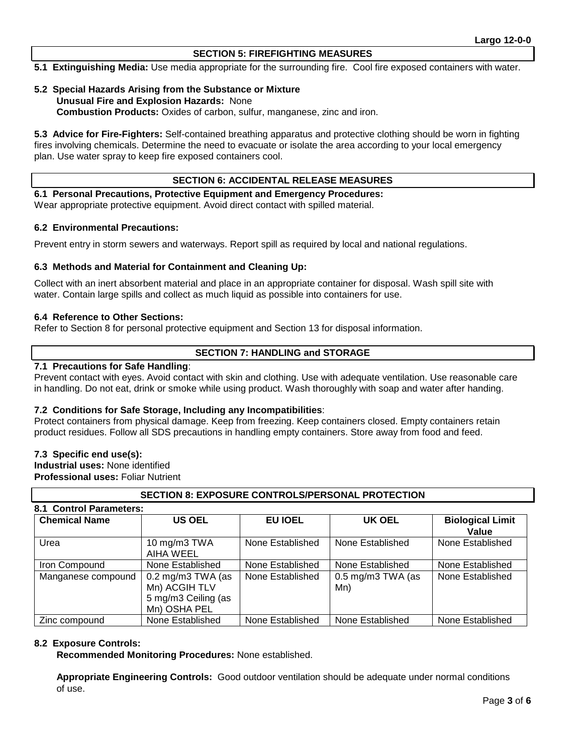# **SECTION 5: FIREFIGHTING MEASURES**

**5.1 Extinguishing Media:** Use media appropriate for the surrounding fire. Cool fire exposed containers with water.

# **5.2 Special Hazards Arising from the Substance or Mixture Unusual Fire and Explosion Hazards:** None **Combustion Products:** Oxides of carbon, sulfur, manganese, zinc and iron.

**5.3 Advice for Fire-Fighters:** Self-contained breathing apparatus and protective clothing should be worn in fighting fires involving chemicals. Determine the need to evacuate or isolate the area according to your local emergency plan. Use water spray to keep fire exposed containers cool.

#### **SECTION 6: ACCIDENTAL RELEASE MEASURES**

**6.1 Personal Precautions, Protective Equipment and Emergency Procedures:**  Wear appropriate protective equipment. Avoid direct contact with spilled material.

# **6.2 Environmental Precautions:**

Prevent entry in storm sewers and waterways. Report spill as required by local and national regulations.

#### **6.3 Methods and Material for Containment and Cleaning Up:**

Collect with an inert absorbent material and place in an appropriate container for disposal. Wash spill site with water. Contain large spills and collect as much liquid as possible into containers for use.

#### **6.4 Reference to Other Sections:**

Refer to Section 8 for personal protective equipment and Section 13 for disposal information.

# **SECTION 7: HANDLING and STORAGE**

# **7.1 Precautions for Safe Handling**:

Prevent contact with eyes. Avoid contact with skin and clothing. Use with adequate ventilation. Use reasonable care in handling. Do not eat, drink or smoke while using product. Wash thoroughly with soap and water after handing.

# **7.2 Conditions for Safe Storage, Including any Incompatibilities**:

Protect containers from physical damage. Keep from freezing. Keep containers closed. Empty containers retain product residues. Follow all SDS precautions in handling empty containers. Store away from food and feed.

# **7.3 Specific end use(s):**

**Industrial uses:** None identified **Professional uses:** Foliar Nutrient

# **SECTION 8: EXPOSURE CONTROLS/PERSONAL PROTECTION**

| 8.1 Control Parameters:<br><b>Chemical Name</b> | <b>US OEL</b>                                                                               | <b>EU IOEL</b>   | UK OEL                     | <b>Biological Limit</b><br>Value |
|-------------------------------------------------|---------------------------------------------------------------------------------------------|------------------|----------------------------|----------------------------------|
| Urea                                            | 10 mg/m3 TWA<br>AIHA WEEL                                                                   | None Established | None Established           | None Established                 |
| Iron Compound                                   | None Established                                                                            | None Established | None Established           | None Established                 |
| Manganese compound                              | $0.2 \text{ mg/m}3 \text{ TWA}$ (as<br>Mn) ACGIH TLV<br>5 mg/m3 Ceiling (as<br>Mn) OSHA PEL | None Established | $0.5$ mg/m3 TWA (as<br>Mn) | None Established                 |
| Zinc compound                                   | None Established                                                                            | None Established | None Established           | None Established                 |

# **8.2 Exposure Controls:**

**Recommended Monitoring Procedures:** None established.

**Appropriate Engineering Controls:** Good outdoor ventilation should be adequate under normal conditions of use.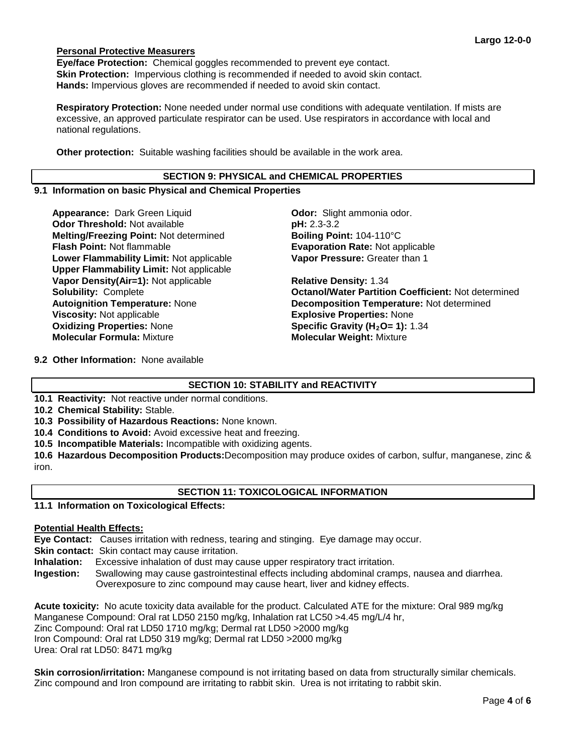# **Personal Protective Measurers**

**Eye/face Protection:** Chemical goggles recommended to prevent eye contact. **Skin Protection:** Impervious clothing is recommended if needed to avoid skin contact. **Hands:** Impervious gloves are recommended if needed to avoid skin contact.

**Respiratory Protection:** None needed under normal use conditions with adequate ventilation. If mists are excessive, an approved particulate respirator can be used. Use respirators in accordance with local and national regulations.

**Other protection:** Suitable washing facilities should be available in the work area.

# **SECTION 9: PHYSICAL and CHEMICAL PROPERTIES**

### **9.1 Information on basic Physical and Chemical Properties**

**Appearance:** Dark Green Liquid **Concernent Codor:** Slight ammonia odor. **Odor Threshold:** Not available **pH: 2.3-3.2 Melting/Freezing Point: Not determined <b>Boiling Point:** 104-110°C<br>**Flash Point: Not flammable <b>Boiling Point: Evaporation Rate:** Not ap **Lower Flammability Limit:** Not applicable **Upper Flammability Limit:** Not applicable **Vapor Density(Air=1):** Not applicable **Relative Density:** 1.34 **Viscosity:** Not applicable **Explosive Properties:** None<br> **Oxidizing Properties:** None **Explosive Constants Constants (H<sub>2</sub>O= 1):** 1 **Molecular Formula:** Mixture **Molecular Weight:** Mixture

**Evaporation Rate: Not applicable Vapor Pressure:** Greater than 1

**Solubility:** Complete **Octanol/Water Partition Coefficient:** Not determined **Autoignition Temperature:** None **Decomposition Temperature:** Not determined **Specific Gravity (H<sub>2</sub>O= 1): 1.34** 

**9.2 Other Information:** None available

# **SECTION 10: STABILITY and REACTIVITY**

**10.1 Reactivity:** Not reactive under normal conditions.

**10.2 Chemical Stability:** Stable.

**10.3 Possibility of Hazardous Reactions:** None known.

**10.4 Conditions to Avoid:** Avoid excessive heat and freezing.

**10.5 Incompatible Materials:** Incompatible with oxidizing agents.

**10.6 Hazardous Decomposition Products:**Decomposition may produce oxides of carbon, sulfur, manganese, zinc & iron.

# **SECTION 11: TOXICOLOGICAL INFORMATION**

# **11.1 Information on Toxicological Effects:**

# **Potential Health Effects:**

**Eye Contact:** Causes irritation with redness, tearing and stinging. Eye damage may occur.

**Skin contact:** Skin contact may cause irritation.

**Inhalation:** Excessive inhalation of dust may cause upper respiratory tract irritation.

**Ingestion:** Swallowing may cause gastrointestinal effects including abdominal cramps, nausea and diarrhea. Overexposure to zinc compound may cause heart, liver and kidney effects.

**Acute toxicity:** No acute toxicity data available for the product. Calculated ATE for the mixture: Oral 989 mg/kg Manganese Compound: Oral rat LD50 2150 mg/kg, Inhalation rat LC50 >4.45 mg/L/4 hr, Zinc Compound: Oral rat LD50 1710 mg/kg; Dermal rat LD50 >2000 mg/kg Iron Compound: Oral rat LD50 319 mg/kg; Dermal rat LD50 >2000 mg/kg Urea: Oral rat LD50: 8471 mg/kg

**Skin corrosion/irritation:** Manganese compound is not irritating based on data from structurally similar chemicals. Zinc compound and Iron compound are irritating to rabbit skin. Urea is not irritating to rabbit skin.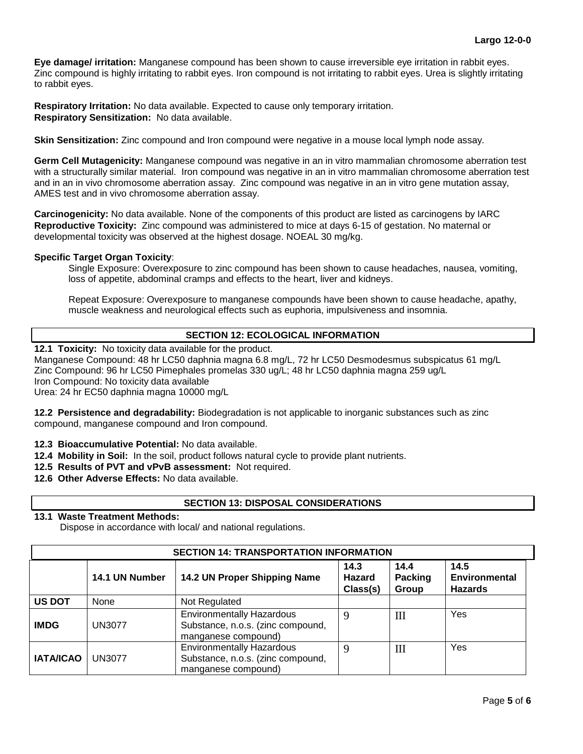**Eye damage/ irritation:** Manganese compound has been shown to cause irreversible eye irritation in rabbit eyes. Zinc compound is highly irritating to rabbit eyes. Iron compound is not irritating to rabbit eyes. Urea is slightly irritating to rabbit eyes.

**Respiratory Irritation:** No data available. Expected to cause only temporary irritation. **Respiratory Sensitization:** No data available.

**Skin Sensitization:** Zinc compound and Iron compound were negative in a mouse local lymph node assay.

**Germ Cell Mutagenicity:** Manganese compound was negative in an in vitro mammalian chromosome aberration test with a structurally similar material. Iron compound was negative in an in vitro mammalian chromosome aberration test and in an in vivo chromosome aberration assay. Zinc compound was negative in an in vitro gene mutation assay, AMES test and in vivo chromosome aberration assay.

**Carcinogenicity:** No data available. None of the components of this product are listed as carcinogens by IARC **Reproductive Toxicity:** Zinc compound was administered to mice at days 6-15 of gestation. No maternal or developmental toxicity was observed at the highest dosage. NOEAL 30 mg/kg.

# **Specific Target Organ Toxicity**:

Single Exposure: Overexposure to zinc compound has been shown to cause headaches, nausea, vomiting, loss of appetite, abdominal cramps and effects to the heart, liver and kidneys.

Repeat Exposure: Overexposure to manganese compounds have been shown to cause headache, apathy, muscle weakness and neurological effects such as euphoria, impulsiveness and insomnia.

# **SECTION 12: ECOLOGICAL INFORMATION**

**12.1 Toxicity:** No toxicity data available for the product.

Manganese Compound: 48 hr LC50 daphnia magna 6.8 mg/L, 72 hr LC50 Desmodesmus subspicatus 61 mg/L Zinc Compound: 96 hr LC50 Pimephales promelas 330 ug/L; 48 hr LC50 daphnia magna 259 ug/L Iron Compound: No toxicity data available Urea: 24 hr EC50 daphnia magna 10000 mg/L

**12.2 Persistence and degradability:** Biodegradation is not applicable to inorganic substances such as zinc compound, manganese compound and Iron compound.

- **12.3 Bioaccumulative Potential:** No data available.
- **12.4 Mobility in Soil:** In the soil, product follows natural cycle to provide plant nutrients.
- **12.5 Results of PVT and vPvB assessment:** Not required.
- **12.6 Other Adverse Effects:** No data available.

# **SECTION 13: DISPOSAL CONSIDERATIONS**

# **13.1 Waste Treatment Methods:**

Dispose in accordance with local/ and national regulations.

| <b>SECTION 14: TRANSPORTATION INFORMATION</b> |                |                                                                                              |                                   |                          |                                                |
|-----------------------------------------------|----------------|----------------------------------------------------------------------------------------------|-----------------------------------|--------------------------|------------------------------------------------|
|                                               | 14.1 UN Number | 14.2 UN Proper Shipping Name                                                                 | 14.3<br><b>Hazard</b><br>Class(s) | 14.4<br>Packing<br>Group | 14.5<br><b>Environmental</b><br><b>Hazards</b> |
| <b>US DOT</b>                                 | None           | Not Regulated                                                                                |                                   |                          |                                                |
| <b>IMDG</b>                                   | <b>UN3077</b>  | <b>Environmentally Hazardous</b><br>Substance, n.o.s. (zinc compound,<br>manganese compound) |                                   | III                      | Yes                                            |
| <b>IATA/ICAO</b>                              | <b>UN3077</b>  | <b>Environmentally Hazardous</b><br>Substance, n.o.s. (zinc compound,<br>manganese compound) | q                                 | III                      | Yes                                            |